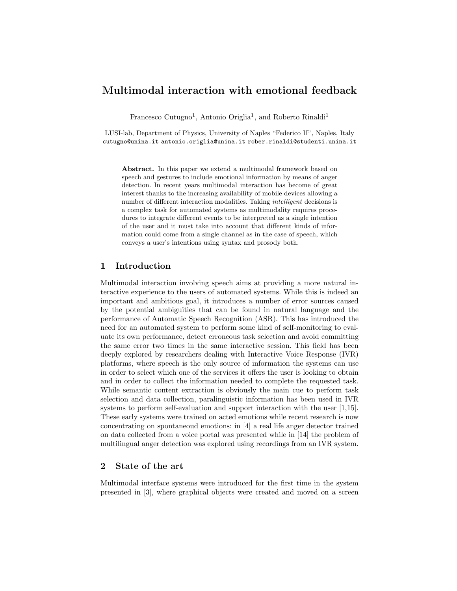# Multimodal interaction with emotional feedback

Francesco Cutugno<sup>1</sup>, Antonio Origlia<sup>1</sup>, and Roberto Rinaldi<sup>1</sup>

LUSI-lab, Department of Physics, University of Naples "Federico II", Naples, Italy cutugno@unina.it antonio.origlia@unina.it rober.rinaldi@studenti.unina.it

Abstract. In this paper we extend a multimodal framework based on speech and gestures to include emotional information by means of anger detection. In recent years multimodal interaction has become of great interest thanks to the increasing availability of mobile devices allowing a number of different interaction modalities. Taking intelligent decisions is a complex task for automated systems as multimodality requires procedures to integrate different events to be interpreted as a single intention of the user and it must take into account that different kinds of information could come from a single channel as in the case of speech, which conveys a user's intentions using syntax and prosody both.

## 1 Introduction

Multimodal interaction involving speech aims at providing a more natural interactive experience to the users of automated systems. While this is indeed an important and ambitious goal, it introduces a number of error sources caused by the potential ambiguities that can be found in natural language and the performance of Automatic Speech Recognition (ASR). This has introduced the need for an automated system to perform some kind of self-monitoring to evaluate its own performance, detect erroneous task selection and avoid committing the same error two times in the same interactive session. This field has been deeply explored by researchers dealing with Interactive Voice Response (IVR) platforms, where speech is the only source of information the systems can use in order to select which one of the services it offers the user is looking to obtain and in order to collect the information needed to complete the requested task. While semantic content extraction is obviously the main cue to perform task selection and data collection, paralinguistic information has been used in IVR systems to perform self-evaluation and support interaction with the user [1,15]. These early systems were trained on acted emotions while recent research is now concentrating on spontaneoud emotions: in [4] a real life anger detector trained on data collected from a voice portal was presented while in [14] the problem of multilingual anger detection was explored using recordings from an IVR system.

## 2 State of the art

Multimodal interface systems were introduced for the first time in the system presented in [3], where graphical objects were created and moved on a screen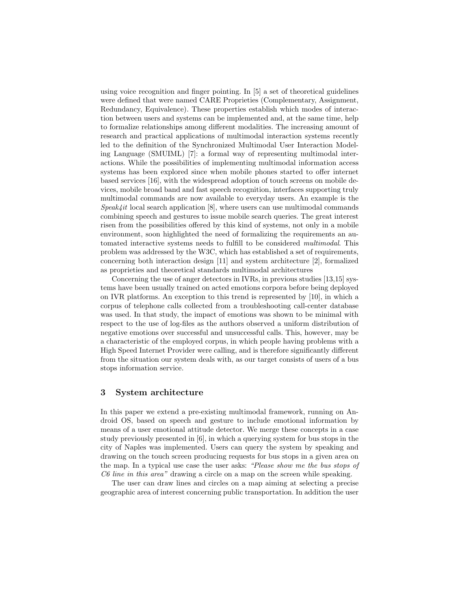using voice recognition and finger pointing. In [5] a set of theoretical guidelines were defined that were named CARE Proprieties (Complementary, Assignment, Redundancy, Equivalence). These properties establish which modes of interaction between users and systems can be implemented and, at the same time, help to formalize relationships among different modalities. The increasing amount of research and practical applications of multimodal interaction systems recently led to the definition of the Synchronized Multimodal User Interaction Modeling Language (SMUIML) [7]: a formal way of representing multimodal interactions. While the possibilities of implementing multimodal information access systems has been explored since when mobile phones started to offer internet based services [16], with the widespread adoption of touch screens on mobile devices, mobile broad band and fast speech recognition, interfaces supporting truly multimodal commands are now available to everyday users. An example is the  $Speak/4it$  local search application [8], where users can use multimodal commands combining speech and gestures to issue mobile search queries. The great interest risen from the possibilities offered by this kind of systems, not only in a mobile environment, soon highlighted the need of formalizing the requirements an automated interactive systems needs to fulfill to be considered multimodal. This problem was addressed by the W3C, which has established a set of requirements, concerning both interaction design [11] and system architecture [2], formalized as proprieties and theoretical standards multimodal architectures

Concerning the use of anger detectors in IVRs, in previous studies [13,15] systems have been usually trained on acted emotions corpora before being deployed on IVR platforms. An exception to this trend is represented by [10], in which a corpus of telephone calls collected from a troubleshooting call-center database was used. In that study, the impact of emotions was shown to be minimal with respect to the use of log-files as the authors observed a uniform distribution of negative emotions over successful and unsuccessful calls. This, however, may be a characteristic of the employed corpus, in which people having problems with a High Speed Internet Provider were calling, and is therefore significantly different from the situation our system deals with, as our target consists of users of a bus stops information service.

#### 3 System architecture

In this paper we extend a pre-existing multimodal framework, running on Android OS, based on speech and gesture to include emotional information by means of a user emotional attitude detector. We merge these concepts in a case study previously presented in [6], in which a querying system for bus stops in the city of Naples was implemented. Users can query the system by speaking and drawing on the touch screen producing requests for bus stops in a given area on the map. In a typical use case the user asks: "Please show me the bus stops of C6 line in this area" drawing a circle on a map on the screen while speaking.

The user can draw lines and circles on a map aiming at selecting a precise geographic area of interest concerning public transportation. In addition the user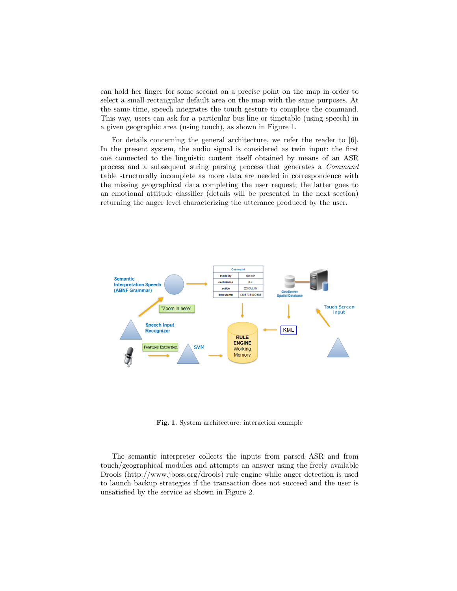can hold her finger for some second on a precise point on the map in order to select a small rectangular default area on the map with the same purposes. At the same time, speech integrates the touch gesture to complete the command. This way, users can ask for a particular bus line or timetable (using speech) in a given geographic area (using touch), as shown in Figure 1.

For details concerning the general architecture, we refer the reader to [6]. In the present system, the audio signal is considered as twin input: the first one connected to the linguistic content itself obtained by means of an ASR process and a subsequent string parsing process that generates a Command table structurally incomplete as more data are needed in correspondence with the missing geographical data completing the user request; the latter goes to an emotional attitude classifier (details will be presented in the next section) returning the anger level characterizing the utterance produced by the user.



Fig. 1. System architecture: interaction example

The semantic interpreter collects the inputs from parsed ASR and from touch/geographical modules and attempts an answer using the freely available Drools (http://www.jboss.org/drools) rule engine while anger detection is used to launch backup strategies if the transaction does not succeed and the user is unsatisfied by the service as shown in Figure 2.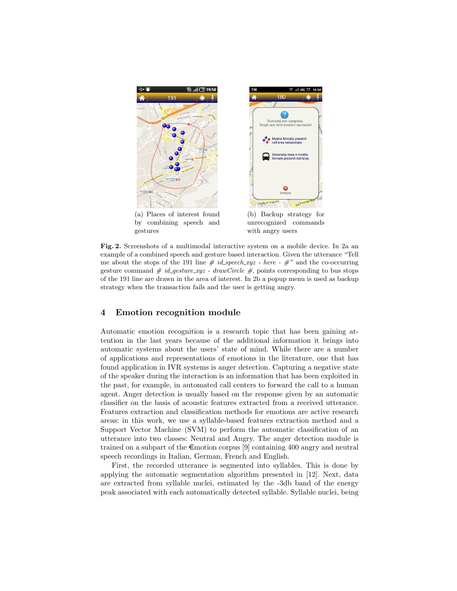

Fig. 2. Screenshots of a multimodal interactive system on a mobile device. In 2a an example of a combined speech and gesture based interaction. Given the utterance "Tell me about the stops of the 191 line  $\#$  id\_speech\_xyz - here -  $\#$ " and the co-occurring gesture command  $\#$  id\_gesture\_xyz - drawCircle  $\#$ , points corresponding to bus stops of the 191 line are drawn in the area of interest. In 2b a popup menu is used as backup strategy when the transaction fails and the user is getting angry.

## 4 Emotion recognition module

Automatic emotion recognition is a research topic that has been gaining attention in the last years because of the additional information it brings into automatic systems about the users' state of mind. While there are a number of applications and representations of emotions in the literature, one that has found application in IVR systems is anger detection. Capturing a negative state of the speaker during the interaction is an information that has been exploited in the past, for example, in automated call centers to forward the call to a human agent. Anger detection is usually based on the response given by an automatic classifier on the basis of acoustic features extracted from a received utterance. Features extraction and classification methods for emotions are active research areas: in this work, we use a syllable-based features extraction method and a Support Vector Machine (SVM) to perform the automatic classification of an utterance into two classes: Neutral and Angry. The anger detection module is trained on a subpart of the  $\epsilon$ motion corpus [9] containing 400 angry and neutral speech recordings in Italian, German, French and English.

First, the recorded utterance is segmented into syllables. This is done by applying the automatic segmentation algorithm presented in [12]. Next, data are extracted from syllable nuclei, estimated by the -3db band of the energy peak associated with each automatically detected syllable. Syllable nuclei, being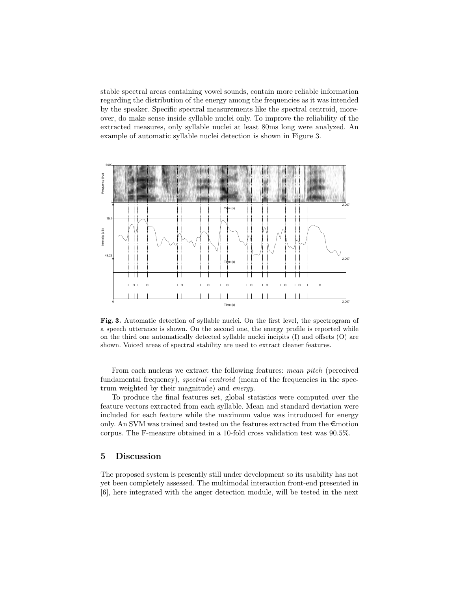stable spectral areas containing vowel sounds, contain more reliable information regarding the distribution of the energy among the frequencies as it was intended by the speaker. Specific spectral measurements like the spectral centroid, moreover, do make sense inside syllable nuclei only. To improve the reliability of the extracted measures, only syllable nuclei at least 80ms long were analyzed. An example of automatic syllable nuclei detection is shown in Figure 3.



Fig. 3. Automatic detection of syllable nuclei. On the first level, the spectrogram of a speech utterance is shown. On the second one, the energy profile is reported while on the third one automatically detected syllable nuclei incipits (I) and offsets (O) are shown. Voiced areas of spectral stability are used to extract cleaner features.

From each nucleus we extract the following features: mean pitch (perceived fundamental frequency), *spectral centroid* (mean of the frequencies in the spectrum weighted by their magnitude) and energy.

To produce the final features set, global statistics were computed over the feature vectors extracted from each syllable. Mean and standard deviation were included for each feature while the maximum value was introduced for energy only. An SVM was trained and tested on the features extracted from the  $\epsilon$ motion corpus. The F-measure obtained in a 10-fold cross validation test was 90.5%.

# 5 Discussion

The proposed system is presently still under development so its usability has not yet been completely assessed. The multimodal interaction front-end presented in [6], here integrated with the anger detection module, will be tested in the next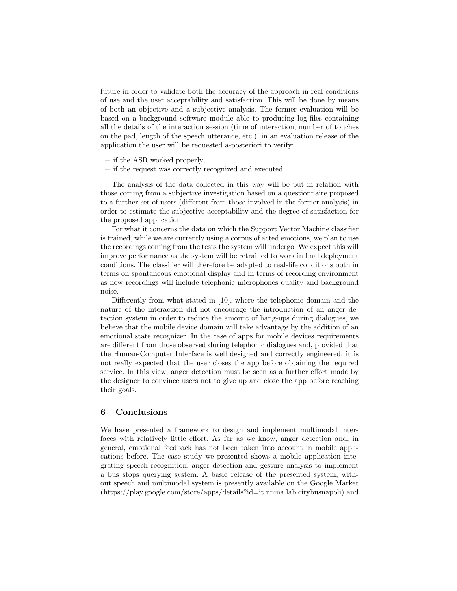future in order to validate both the accuracy of the approach in real conditions of use and the user acceptability and satisfaction. This will be done by means of both an objective and a subjective analysis. The former evaluation will be based on a background software module able to producing log-files containing all the details of the interaction session (time of interaction, number of touches on the pad, length of the speech utterance, etc.), in an evaluation release of the application the user will be requested a-posteriori to verify:

- if the ASR worked properly;
- if the request was correctly recognized and executed.

The analysis of the data collected in this way will be put in relation with those coming from a subjective investigation based on a questionnaire proposed to a further set of users (different from those involved in the former analysis) in order to estimate the subjective acceptability and the degree of satisfaction for the proposed application.

For what it concerns the data on which the Support Vector Machine classifier is trained, while we are currently using a corpus of acted emotions, we plan to use the recordings coming from the tests the system will undergo. We expect this will improve performance as the system will be retrained to work in final deployment conditions. The classifier will therefore be adapted to real-life conditions both in terms on spontaneous emotional display and in terms of recording environment as new recordings will include telephonic microphones quality and background noise.

Differently from what stated in [10], where the telephonic domain and the nature of the interaction did not encourage the introduction of an anger detection system in order to reduce the amount of hang-ups during dialogues, we believe that the mobile device domain will take advantage by the addition of an emotional state recognizer. In the case of apps for mobile devices requirements are different from those observed during telephonic dialogues and, provided that the Human-Computer Interface is well designed and correctly engineered, it is not really expected that the user closes the app before obtaining the required service. In this view, anger detection must be seen as a further effort made by the designer to convince users not to give up and close the app before reaching their goals.

#### 6 Conclusions

We have presented a framework to design and implement multimodal interfaces with relatively little effort. As far as we know, anger detection and, in general, emotional feedback has not been taken into account in mobile applications before. The case study we presented shows a mobile application integrating speech recognition, anger detection and gesture analysis to implement a bus stops querying system. A basic release of the presented system, without speech and multimodal system is presently available on the Google Market (https://play.google.com/store/apps/details?id=it.unina.lab.citybusnapoli) and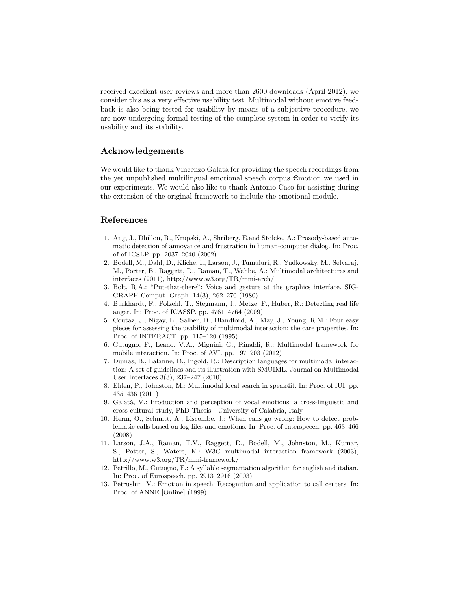received excellent user reviews and more than 2600 downloads (April 2012), we consider this as a very effective usability test. Multimodal without emotive feedback is also being tested for usability by means of a subjective procedure, we are now undergoing formal testing of the complete system in order to verify its usability and its stability.

## Acknowledgements

We would like to thank Vincenzo Galatà for providing the speech recordings from the yet unpublished multilingual emotional speech corpus €motion we used in our experiments. We would also like to thank Antonio Caso for assisting during the extension of the original framework to include the emotional module.

#### References

- 1. Ang, J., Dhillon, R., Krupski, A., Shriberg, E.and Stolcke, A.: Prosody-based automatic detection of annoyance and frustration in human-computer dialog. In: Proc. of of ICSLP. pp. 2037–2040 (2002)
- 2. Bodell, M., Dahl, D., Kliche, I., Larson, J., Tumuluri, R., Yudkowsky, M., Selvaraj, M., Porter, B., Raggett, D., Raman, T., Wahbe, A.: Multimodal architectures and interfaces (2011), http://www.w3.org/TR/mmi-arch/
- 3. Bolt, R.A.: "Put-that-there": Voice and gesture at the graphics interface. SIG-GRAPH Comput. Graph. 14(3), 262–270 (1980)
- 4. Burkhardt, F., Polzehl, T., Stegmann, J., Metze, F., Huber, R.: Detecting real life anger. In: Proc. of ICASSP. pp. 4761–4764 (2009)
- 5. Coutaz, J., Nigay, L., Salber, D., Blandford, A., May, J., Young, R.M.: Four easy pieces for assessing the usability of multimodal interaction: the care properties. In: Proc. of INTERACT. pp. 115–120 (1995)
- 6. Cutugno, F., Leano, V.A., Mignini, G., Rinaldi, R.: Multimodal framework for mobile interaction. In: Proc. of AVI. pp. 197–203 (2012)
- 7. Dumas, B., Lalanne, D., Ingold, R.: Description languages for multimodal interaction: A set of guidelines and its illustration with SMUIML. Journal on Multimodal User Interfaces 3(3), 237–247 (2010)
- 8. Ehlen, P., Johnston, M.: Multimodal local search in speak4it. In: Proc. of IUI. pp. 435–436 (2011)
- 9. Galat`a, V.: Production and perception of vocal emotions: a cross-linguistic and cross-cultural study, PhD Thesis - University of Calabria, Italy
- 10. Herm, O., Schmitt, A., Liscombe, J.: When calls go wrong: How to detect problematic calls based on log-files and emotions. In: Proc. of Interspeech. pp. 463–466 (2008)
- 11. Larson, J.A., Raman, T.V., Raggett, D., Bodell, M., Johnston, M., Kumar, S., Potter, S., Waters, K.: W3C multimodal interaction framework (2003), http://www.w3.org/TR/mmi-framework/
- 12. Petrillo, M., Cutugno, F.: A syllable segmentation algorithm for english and italian. In: Proc. of Eurospeech. pp. 2913–2916 (2003)
- 13. Petrushin, V.: Emotion in speech: Recognition and application to call centers. In: Proc. of ANNE [Online] (1999)